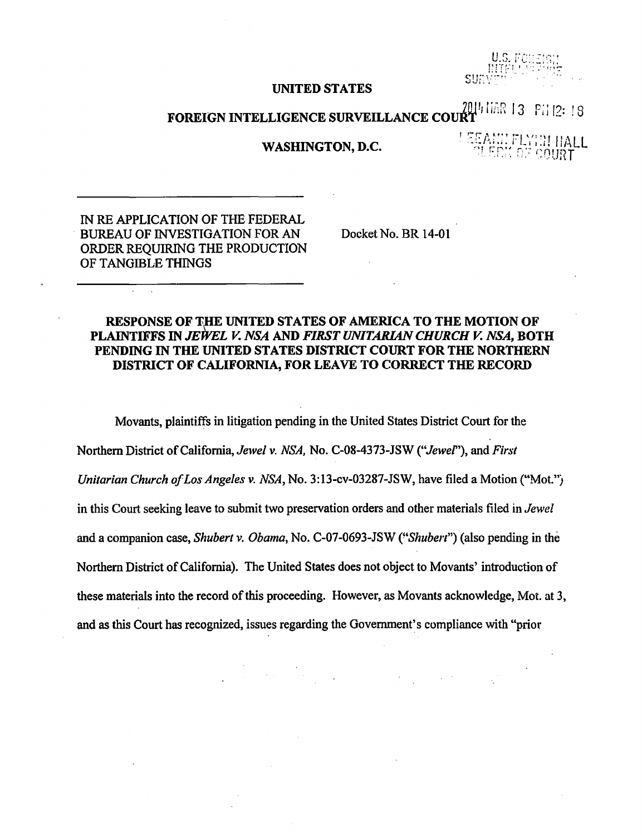SUP

## UNITED STATES

FOREIGN INTELLIGENCE SURVEILLANCE COURT<br>FOREIGN INTELLIGENCE SURVEILLANCE COURT

## WASHINGTON, D.C.

EEANI! FLYIN HALL<br>| CLEDK OF COURT

IN RE APPLICATION OF THE FEDERAL BUREAU OF INVESTIGATION FOR AN ORDER REQUIRING THE PRODUCTION OF TANGIBLE THINGS

Docket No. BR 14-01

## RESPONSE OF THE UNITED STATES OF AMERICA TO THE MOTION OF PLAINTIFFS IN *JEWEL V. NSA* AND *FIRST UNITARIAN CHURCH V. NSA,* BOTH PENDING IN THE UNITED STATES DISTRICT COURT FOR THE NORTHERN DISTRICT OF CALIFORNIA, FOR LEA VE TO CORRECT THE RECORD

Movants, plaintiffs in litigation pending in the United States District Court for the Northern District of California, *Jewel v. NSA,* No. C-08-4373-JSW *("Jewef'),* and *First Unitarian Church of Los Angeles v. NSA,* No. 3:13-cv-03287-JSW, have filed a Motion *("Mot.")*  in this Court seeking leave to submit two preservation orders and other materials filed in *Jewel*  and a companion case, *Shubert v. Obama,* No. C-07-0693-JSW *C'Shuben")* (also pending in the Northern District of California). The United States does not object to Movants' introduction of these materials into the record of this proceeding. However, as Movants acknowledge, Mot. at 3, and as this Court has recognized, issues regarding the Government's compliance with "prior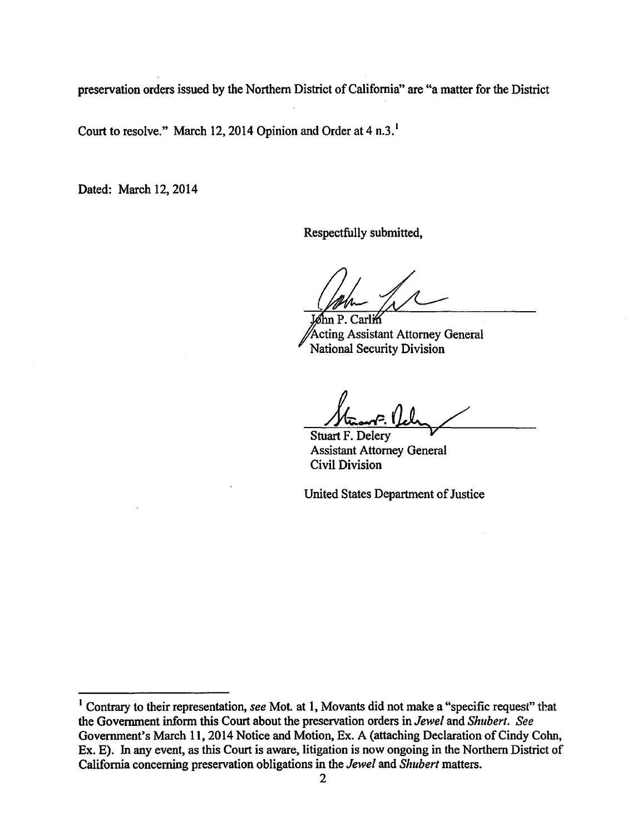preservation orders issued by the Northern District of California" are "a matter for the District

Court to resolve." March 12, 2014 Opinion and Order at 4 n.3.

Dated: March 12, 2014

Respectfully submitted,

Carlin Acting Assistant Attorney General National Security Division

Stuart F. Delery Assistant Attorney General Civil Division

United States Department of Justice

<sup>1</sup>Contrary to their representation, *see* Mot. at 1, Movants did not make a "specific request" that the Government inform this Court about the preservation orders in *Jewel* and *Shubert. See*  Government's March 11, 2014 Notice and Motion, Ex. A (attaching Declaration of Cindy Cohn, Ex. E). In any event, as this Court is aware, litigation is now ongoing in the Northern District of California concerning preservation obligations in the *Jewel* and *Shubert* matters.